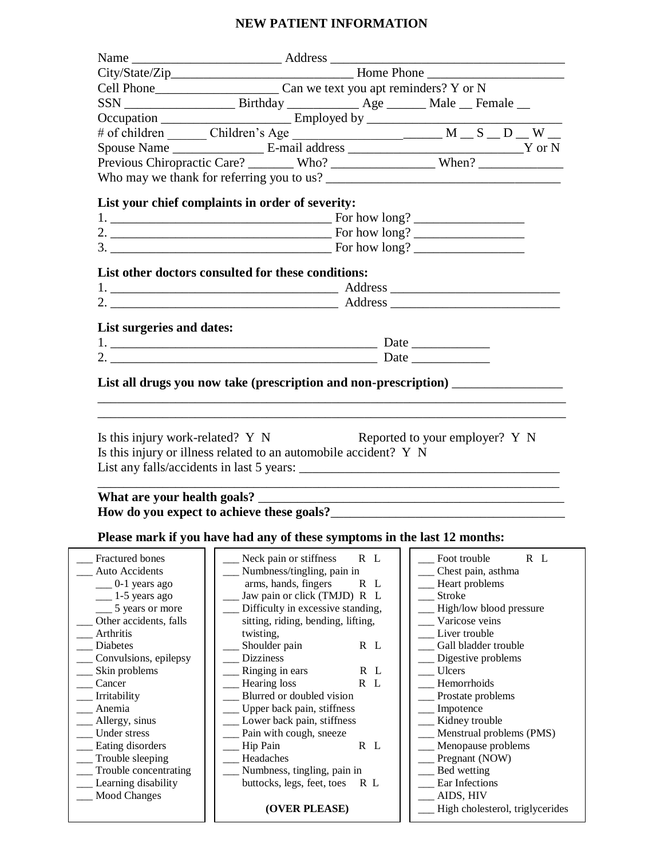## **NEW PATIENT INFORMATION**

|                                                      | Occupation __________________________Employed by _______________________________                                                                                                                                                                                                                                  |  |  |  |
|------------------------------------------------------|-------------------------------------------------------------------------------------------------------------------------------------------------------------------------------------------------------------------------------------------------------------------------------------------------------------------|--|--|--|
|                                                      |                                                                                                                                                                                                                                                                                                                   |  |  |  |
|                                                      |                                                                                                                                                                                                                                                                                                                   |  |  |  |
|                                                      |                                                                                                                                                                                                                                                                                                                   |  |  |  |
|                                                      |                                                                                                                                                                                                                                                                                                                   |  |  |  |
|                                                      |                                                                                                                                                                                                                                                                                                                   |  |  |  |
|                                                      | List your chief complaints in order of severity:                                                                                                                                                                                                                                                                  |  |  |  |
|                                                      |                                                                                                                                                                                                                                                                                                                   |  |  |  |
|                                                      |                                                                                                                                                                                                                                                                                                                   |  |  |  |
|                                                      |                                                                                                                                                                                                                                                                                                                   |  |  |  |
|                                                      |                                                                                                                                                                                                                                                                                                                   |  |  |  |
|                                                      | List other doctors consulted for these conditions:                                                                                                                                                                                                                                                                |  |  |  |
|                                                      |                                                                                                                                                                                                                                                                                                                   |  |  |  |
|                                                      | 2. $\qquad \qquad \qquad$ Address $\qquad \qquad$ Address $\qquad \qquad$                                                                                                                                                                                                                                         |  |  |  |
|                                                      |                                                                                                                                                                                                                                                                                                                   |  |  |  |
| List surgeries and dates:                            |                                                                                                                                                                                                                                                                                                                   |  |  |  |
|                                                      |                                                                                                                                                                                                                                                                                                                   |  |  |  |
|                                                      |                                                                                                                                                                                                                                                                                                                   |  |  |  |
|                                                      |                                                                                                                                                                                                                                                                                                                   |  |  |  |
|                                                      | List all drugs you now take (prescription and non-prescription) ________________                                                                                                                                                                                                                                  |  |  |  |
|                                                      | Is this injury work-related? Y N<br>Reported to your employer? Y N<br>Is this injury or illness related to an automobile accident? Y N                                                                                                                                                                            |  |  |  |
|                                                      |                                                                                                                                                                                                                                                                                                                   |  |  |  |
|                                                      | How do you expect to achieve these goals?<br><u>Letting and the substitute of the set of the substitute</u> of the substitute of the substitute of the substitute of the substitute of the substitute of the substitute of the substi<br>Please mark if you have had any of these symptoms in the last 12 months: |  |  |  |
| Fractured bones<br>Auto Accidents<br>$0-1$ years ago | $R$ $L$<br>R L<br>Neck pain or stiffness<br>Foot trouble<br>Numbness/tingling, pain in<br>Chest pain, asthma<br>arms, hands, fingers<br>R L<br>Heart problems                                                                                                                                                     |  |  |  |
| 1-5 years ago                                        | <b>Stroke</b><br>Jaw pain or click (TMJD) R L                                                                                                                                                                                                                                                                     |  |  |  |
| 5 years or more                                      | Difficulty in excessive standing,<br>High/low blood pressure                                                                                                                                                                                                                                                      |  |  |  |
| Other accidents, falls                               | sitting, riding, bending, lifting,<br>Varicose veins                                                                                                                                                                                                                                                              |  |  |  |
| Arthritis                                            | Liver trouble<br>twisting,                                                                                                                                                                                                                                                                                        |  |  |  |
| Diabetes                                             | Gall bladder trouble<br>Shoulder pain<br>R L                                                                                                                                                                                                                                                                      |  |  |  |
| Convulsions, epilepsy                                | <b>Dizziness</b><br>Digestive problems<br>R L<br>Ulcers                                                                                                                                                                                                                                                           |  |  |  |
| Skin problems<br>Cancer                              | Ringing in ears<br>Hearing loss<br>R L<br>Hemorrhoids                                                                                                                                                                                                                                                             |  |  |  |
| Irritability                                         | Blurred or doubled vision<br>Prostate problems                                                                                                                                                                                                                                                                    |  |  |  |
| Anemia                                               | Upper back pain, stiffness<br>Impotence                                                                                                                                                                                                                                                                           |  |  |  |
| Allergy, sinus                                       | Lower back pain, stiffness<br>Kidney trouble                                                                                                                                                                                                                                                                      |  |  |  |
| Under stress                                         | Pain with cough, sneeze<br>Menstrual problems (PMS)                                                                                                                                                                                                                                                               |  |  |  |
| Eating disorders                                     | R L<br>Menopause problems<br>Hip Pain                                                                                                                                                                                                                                                                             |  |  |  |
| Trouble sleeping                                     | Headaches<br>Pregnant (NOW)                                                                                                                                                                                                                                                                                       |  |  |  |
| Trouble concentrating                                | Numbness, tingling, pain in<br>Bed wetting                                                                                                                                                                                                                                                                        |  |  |  |
| Learning disability<br><b>Mood Changes</b>           | Ear Infections<br>buttocks, legs, feet, toes<br>R L<br>AIDS, HIV                                                                                                                                                                                                                                                  |  |  |  |